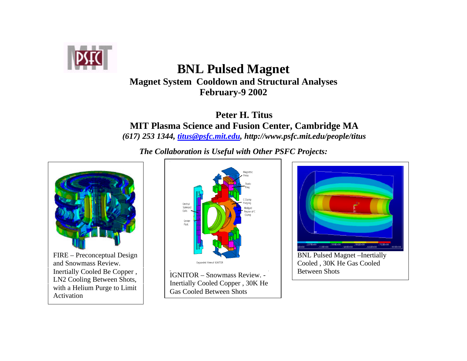

# **BNL Pulsed Magnet Magnet System Cooldown and Structural Analyses February-9 2002**

**Peter H. Titus MIT Plasma Science and Fusion Center, Cambridge MA** *(617) 253 1344, titus@psfc.mit.edu, http://www.psfc.mit.edu/people/titus*

*The Collaboration is Useful with Other PSFC Projects:*



Inertially Cooled Be Copper , LN2 Cooling Between Shots, with a Helium Purge to Limit Activation



IGNITOR – Snowmass Review. - Inertially Cooled Copper , 30K He Gas Cooled Between Shots



Cooled , 30K He Gas Cooled Between Shots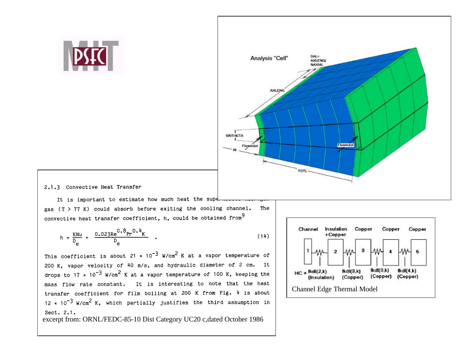



#### 2.1.3 Convective Heat Transfer

It is important to estimate how much heat the supe gas  $(T > 77 K)$  could absorb before exiting the cooling channel. The convective heat transfer coefficient, h, could be obtained from<sup>9</sup>

$$
h = \frac{KNu}{D_e} = \frac{0.023Re^{0.8}Pr^{0.4}K}{D_e}
$$
 (14)

This coefficient is about 21 x  $10^{-3}$  W/cm<sup>2</sup> K at a vapor temperature of 200 K, vapor velocity of 40 m/s, and hydraulic diameter of 2 cm. It drops to 17 x 10<sup>-3</sup> W/cm<sup>2</sup> K at a vapor temperature of 100 K, keeping the mass flow rate constant. It is interesting to note that the heat transfer coefficient for film boiling at 200 K from Fig. 4 is about  $12 \times 10^{-3}$  W/cm<sup>2</sup> K, which partially justifies the third assumption in Sect. 2.1.

excerpt from: ORNL/FEDC-85-10 Dist Category UC20 c,dated October 1986

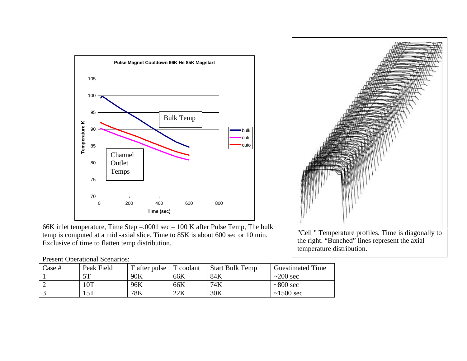

66K inlet temperature, Time Step =.0001 sec – 100 K after Pulse Temp, The bulk temp is computed at a mid -axial slice. Time to 85K is about 600 sec or 10 min. Exclusive of time to flatten temp distribution.

"Cell " Temperature profiles. Time is diagonally to the right. "Bunched" lines represent the axial temperature distribution.

Present Operational Scenarios:

| $\text{Case}~#$ | Peak Field | T after pulse | coolant | <b>Start Bulk Temp</b> | <b>Guestimated Time</b> |
|-----------------|------------|---------------|---------|------------------------|-------------------------|
|                 | cπ         | 90K           | 66K     | 84K                    | $\approx$ 200 sec       |
|                 | $0$ T      | 96K           | 66K     | 74K                    | $\sim 800$ sec          |
|                 | 15T        | 78K           | 22K     | 30K                    | $\sim$ 1500 sec         |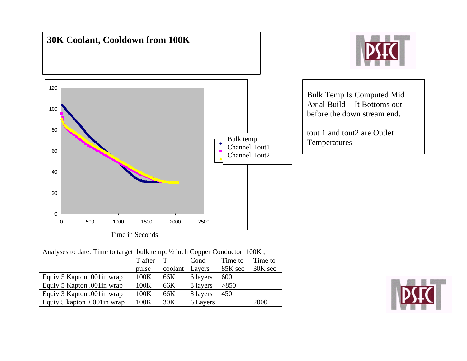

Analyses to date: Time to target bulk temp. ½ inch Copper Conductor, 100K ,

|                              | T after |         | Cond     | Time to | Time to |
|------------------------------|---------|---------|----------|---------|---------|
|                              | pulse   | coolant | Layers   | 85K sec | 30K sec |
| Equiv 5 Kapton .001 in wrap  | 100K    | 66K     | 6 layers | 600     |         |
| Equiv 5 Kapton .001 in wrap  | 100K    | 66K     | 8 layers | >850    |         |
| Equiv 3 Kapton .001 in wrap  | 100K    | 66K     | 8 layers | 450     |         |
| Equiv 5 kapton .0001 in wrap | 100K    | 30K     | 6 Layers |         | 2000    |

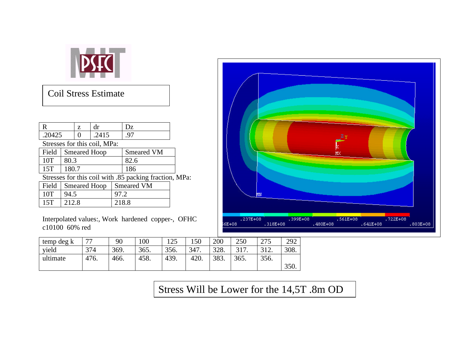

# Coil Stress Estimate

| R                                                      | dr<br>Z             |  |       |  | Dz                |  |  |  |
|--------------------------------------------------------|---------------------|--|-------|--|-------------------|--|--|--|
| .20425                                                 |                     |  | .2415 |  | .97               |  |  |  |
| Stresses for this coil, MPa:                           |                     |  |       |  |                   |  |  |  |
| Field                                                  | <b>Smeared Hoop</b> |  |       |  | <b>Smeared VM</b> |  |  |  |
| 10T                                                    | 80.3                |  |       |  | 82.6              |  |  |  |
| 15T                                                    | 180.7               |  |       |  | 186               |  |  |  |
| Stresses for this coil with .85 packing fraction, MPa: |                     |  |       |  |                   |  |  |  |
| Field                                                  | <b>Smeared Hoop</b> |  |       |  | <b>Smeared VM</b> |  |  |  |
| 10T                                                    | 94.5                |  |       |  | 97.2              |  |  |  |
| 15T                                                    | 212.8               |  |       |  | 218.8             |  |  |  |
|                                                        |                     |  |       |  |                   |  |  |  |

Interpolated values:, Work hardened copper-, OFHC c10100 60% red



| temp deg k | 77   | 90   | 00   | 125  | 150  | 200  | 250  | 275  | 292  |
|------------|------|------|------|------|------|------|------|------|------|
| yield      | 374  | 369. | 365. | 356. | 347. | 328. | 317. | 312. | 308. |
| ultimate   | 476. | 466. | 458. | 439. | 420. | 383. | 365. | 356. |      |
|            |      |      |      |      |      |      |      |      | 350. |

Stress Will be Lower for the 14,5T .8m OD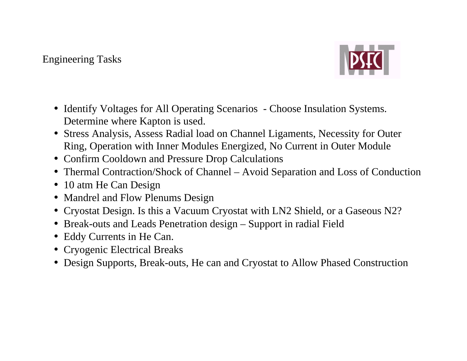### Engineering Tasks



- Identify Voltages for All Operating Scenarios Choose Insulation Systems. Determine where Kapton is used.
- Stress Analysis, Assess Radial load on Channel Ligaments, Necessity for Outer Ring, Operation with Inner Modules Energized, No Current in Outer Module
- Confirm Cooldown and Pressure Drop Calculations
- Thermal Contraction/Shock of Channel Avoid Separation and Loss of Conduction
- 10 atm He Can Design
- Mandrel and Flow Plenums Design
- Cryostat Design. Is this a Vacuum Cryostat with LN2 Shield, or a Gaseous N2?
- Break-outs and Leads Penetration design Support in radial Field
- Eddy Currents in He Can.
- Cryogenic Electrical Breaks
- Design Supports, Break-outs, He can and Cryostat to Allow Phased Construction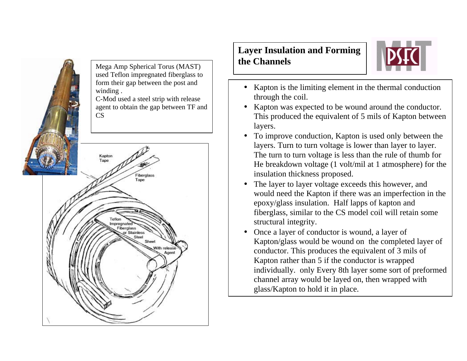

Sheet

With release Agent **Layer Insulation and Forming the Channels**



- Kapton is the limiting element in the thermal conduction through the coil.
- Kapton was expected to be wound around the conductor. This produced the equivalent of 5 mils of Kapton between layers.
- To improve conduction, Kapton is used only between the layers. Turn to turn voltage is lower than layer to layer. The turn to turn voltage is less than the rule of thumb for He breakdown voltage (1 volt/mil at 1 atmosphere) for the insulation thickness proposed.
- The layer to layer voltage exceeds this however, and would need the Kapton if there was an imperfection in the epoxy/glass insulation. Half lapps of kapton and fiberglass, similar to the CS model coil will retain some structural integrity.
- Once a layer of conductor is wound, a layer of Kapton/glass would be wound on the completed layer of conductor. This produces the equivalent of 3 mils of Kapton rather than 5 if the conductor is wrapped individually. only Every 8th layer some sort of preformed channel array would be layed on, then wrapped with glass/Kapton to hold it in place.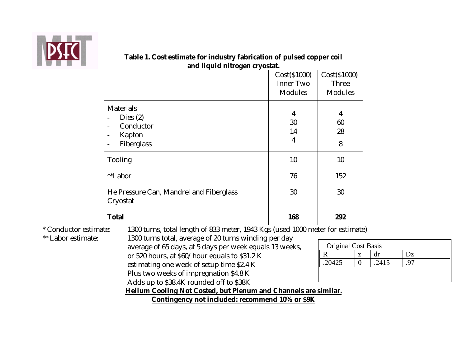

|                                         | Cost(S1000)      | Cost(S1000)    |
|-----------------------------------------|------------------|----------------|
|                                         | <b>Inner Two</b> | <b>Three</b>   |
|                                         | <b>Modules</b>   | <b>Modules</b> |
| <b>Materials</b>                        |                  |                |
| Dies $(2)$                              | $\overline{4}$   | 4              |
| Conductor                               | 30               | 60             |
| Kapton                                  | 14               | 28             |
| Fiberglass                              | $\overline{4}$   | 8              |
| <b>Tooling</b>                          | 10               | 10             |
| **Labor                                 | 76               | 152            |
| He Pressure Can, Mandrel and Fiberglass | 30               | 30             |
| Cryostat                                |                  |                |
| <b>Total</b>                            | 168              | 292            |

#### **Table 1. Cost estimate for industry fabrication of pulsed copper coil and liquid nitrogen cryostat.**

\* Conductor estim

\*\* Labor estimate:

average of 65 days, at 5 days per week equals 13 weeks, or 520 hours, at \$60/hour equals to \$31.2 K estimating one week of setup time \$2.4 K Plus two weeks of impregnation \$4.8 K

Adds up to \$38.4K rounded off to \$38K

| <b>Original Cost Basis</b> |  |       |    |  |  |  |  |
|----------------------------|--|-------|----|--|--|--|--|
|                            |  |       | Dz |  |  |  |  |
| .20425                     |  | .2415 |    |  |  |  |  |
|                            |  |       |    |  |  |  |  |

**Helium Cooling Not Costed, but Plenum and Channels are similar.**

**Contingency not included: recommend 10% or \$9K**